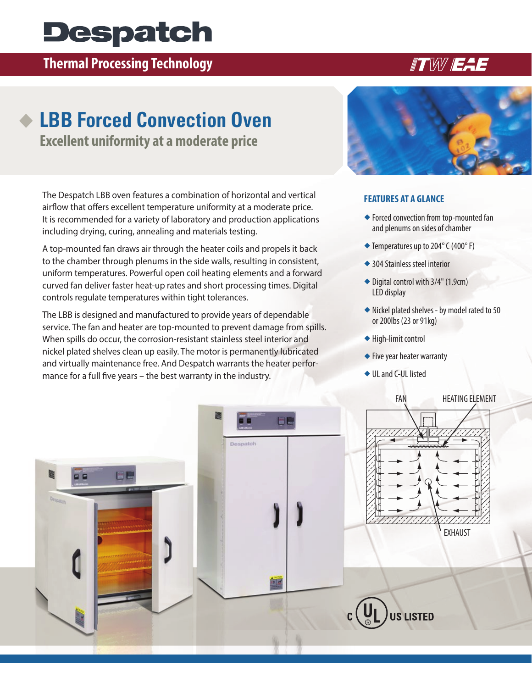# **Despatch**

### **Thermal Processing Technology**

## **LBB Forced Convection Oven**

**Excellent uniformity at a moderate price**

The Despatch LBB oven features a combination of horizontal and vertical airflow that offers excellent temperature uniformity at a moderate price. It is recommended for a variety of laboratory and production applications including drying, curing, annealing and materials testing.

A top-mounted fan draws air through the heater coils and propels it back to the chamber through plenums in the side walls, resulting in consistent, uniform temperatures. Powerful open coil heating elements and a forward curved fan deliver faster heat-up rates and short processing times. Digital controls regulate temperatures within tight tolerances.

The LBB is designed and manufactured to provide years of dependable service. The fan and heater are top-mounted to prevent damage from spills. When spills do occur, the corrosion-resistant stainless steel interior and nickel plated shelves clean up easily. The motor is permanently lubricated and virtually maintenance free. And Despatch warrants the heater performance for a full five years – the best warranty in the industry.



#### **FEATURES AT A GLANCE**

- $\blacklozenge$  Forced convection from top-mounted fan and plenums on sides of chamber
- $\blacklozenge$  Temperatures up to 204 $\degree$  C (400 $\degree$  F)
- ◆ 304 Stainless steel interior
- $\blacklozenge$  Digital control with 3/4" (1.9cm) LED display
- $\blacklozenge$  Nickel plated shelves by model rated to 50 or 200lbs (23 or 91kg)
- $\blacklozenge$  High-limit control
- $\blacklozenge$  Five year heater warranty
- ◆ UL and C-UL listed



## **ITW EAE**